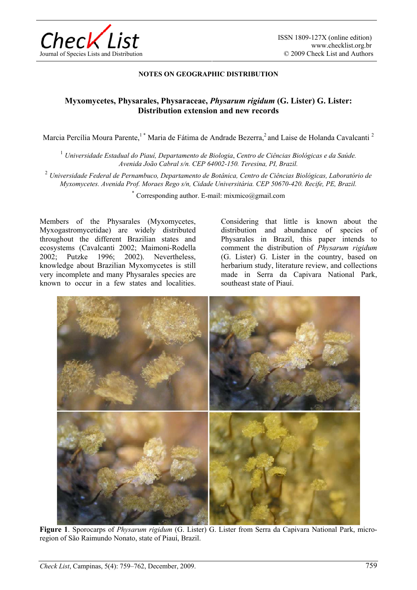

## **NOTES ON GEOGRAPHIC DISTRIBUTION**

## **Myxomycetes, Physarales, Physaraceae,** *Physarum rigidum* **(G. Lister) G. Lister: Distribution extension and new records**

Marcia Percília Moura Parente,<sup>1</sup> \* Maria de Fátima de Andrade Bezerra,<sup>2</sup> and Laise de Holanda Cavalcanti<sup>2</sup>

<sup>1</sup> *Universidade Estadual do Piauí, Departamento de Biologia*, *Centro de Ciências Biológicas e da Saúde. Avenida João Cabral s/n. CEP 64002-150. Teresina, PI, Brazil.* 

<sup>2</sup> *Universidade Federal de Pernambuco, Departamento de Botânica, Centro de Ciências Biológicas, Laboratório de Myxomycetes. Avenida Prof. Moraes Rego s/n, Cidade Universitária. CEP 50670-420. Recife, PE, Brazil.* 

Corresponding author. E-mail:  $mixmico@gmail.com$ 

Members of the Physarales (Myxomycetes, Myxogastromycetidae) are widely distributed throughout the different Brazilian states and ecosystems (Cavalcanti 2002; Maimoni-Rodella<br>2002; Putzke 1996; 2002). Nevertheless, 2002; Putzke 1996; knowledge about Brazilian Myxomycetes is still very incomplete and many Physarales species are known to occur in a few states and localities.

Considering that little is known about the distribution and abundance of species of Physarales in Brazil, this paper intends to comment the distribution of *Physarum rigidum*  (G. Lister) G. Lister in the country, based on herbarium study, literature review, and collections made in Serra da Capivara National Park, southeast state of Piauí.



**Figure 1**. Sporocarps of *Physarum rigidum* (G. Lister) G. Lister from Serra da Capivara National Park, microregion of São Raimundo Nonato, state of Piauí, Brazil.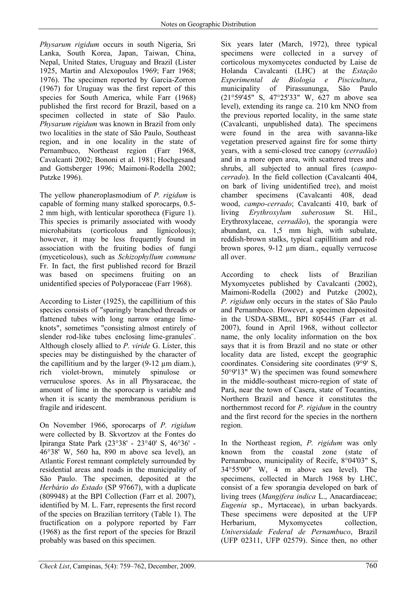*Physarum rigidum* occurs in south Nigeria, Sri Lanka, South Korea, Japan, Taiwan, China, Nepal, United States, Uruguay and Brazil (Lister 1925, Martin and Alexopoulos 1969; Farr 1968; 1976). The specimen reported by Garcia-Zorron (1967) for Uruguay was the first report of this species for South America, while Farr (1968) published the first record for Brazil, based on a specimen collected in state of São Paulo. *Physarum rigidum* was known in Brazil from only two localities in the state of São Paulo, Southeast region, and in one locality in the state of Pernambuco, Northeast region (Farr 1968, Cavalcanti 2002; Bononi et al. 1981; Hochgesand and Gottsberger 1996; Maimoni-Rodella 2002; Putzke 1996).

The yellow phaneroplasmodium of *P. rigidum* is capable of forming many stalked sporocarps, 0.5- 2 mm high, with lenticular sporotheca (Figure 1). This species is primarily associated with woody microhabitats (corticolous and lignicolous); however, it may be less frequently found in association with the fruiting bodies of fungi (myceticolous), such as *Schizophyllum commune*  Fr. In fact, the first published record for Brazil was based on specimens fruiting on an unidentified species of Polyporaceae (Farr 1968).

According to Lister (1925), the capillitium of this species consists of "sparingly branched threads or flattened tubes with long narrow orange limeknots", sometimes "consisting almost entirely of slender rod-like tubes enclosing lime-granules¨. Although closely allied to *P. viride* G. Lister, this species may be distinguished by the character of the capillitium and by the larger  $(9-12 \mu m \text{ diam.})$ , rich violet-brown, minutely spinulose or verruculose spores. As in all Physaraceae, the amount of lime in the sporocarp is variable and when it is scanty the membranous peridium is fragile and iridescent.

On November 1966, sporocarps of *P. rigidum* were collected by B. Skvortzov at the Fontes do Ipiranga State Park (23°38' - 23°40' S, 46°36' - 46°38' W, 560 ha, 890 m above sea level), an Atlantic Forest remnant completely surrounded by residential areas and roads in the municipality of São Paulo. The specimen, deposited at the *Herbário do Estado* (SP 97667), with a duplicate (809948) at the BPI Collection (Farr et al. 2007), identified by M. L. Farr, represents the first record of the species on Brazilian territory (Table 1). The fructification on a polypore reported by Farr (1968) as the first report of the species for Brazil probably was based on this specimen.

Six years later (March, 1972), three typical specimens were collected in a survey of corticolous myxomycetes conducted by Laise de Holanda Cavalcanti (LHC) at the *Estação Experimental de Biologia e Piscicultura*, municipality of Pirassununga, São Paulo (21°59'45" S, 47°25'33" W, 627 m above sea level), extending its range ca. 210 km NNO from the previous reported locality, in the same state (Cavalcanti, unpublished data). The specimens were found in the area with savanna-like vegetation preserved against fire for some thirty years, with a semi-closed tree canopy (*cerradão*) and in a more open area, with scattered trees and shrubs, all subjected to annual fires (*campocerrado*). In the field collection (Cavalcanti 404, on bark of living unidentified tree), and moist chamber specimens (Cavalcanti 408, dead wood, *campo-cerrado*; Cavalcanti 410, bark of living *Erythroxylum suberosum* St. Hil., Erythroxylaceae, *cerradão*), the sporangia were abundant, ca. 1,5 mm high, with subulate, reddish-brown stalks, typical capillitium and redbrown spores, 9-12 µm diam., equally verrucose all over.

According to check lists of Brazilian Myxomycetes published by Cavalcanti (2002), Maimoni-Rodella (2002) and Putzke (2002), *P. rigidum* only occurs in the states of São Paulo and Pernambuco. However, a specimen deposited in the USDA-SBML, BPI 805445 (Farr et al. 2007), found in April 1968, without collector name, the only locality information on the box says that it is from Brazil and no state or other locality data are listed, except the geographic coordinates. Considering site coordinates (9°9' S, 50°9'13" W) the specimen was found somewhere in the middle-southeast micro-region of state of Pará, near the town of Casera, state of Tocantins, Northern Brazil and hence it constitutes the northernmost record for *P. rigidum* in the country and the first record for the species in the northern region.

In the Northeast region, *P. rigidum* was only known from the coastal zone (state of Pernambuco, municipality of Recife, 8°04'03" S, 34°55'00" W, 4 m above sea level). The specimens, collected in March 1968 by LHC, consist of a few sporangia developed on bark of living trees (*Mangifera indica* L., Anacardiaceae; *Eugenia* sp., Myrtaceae), in urban backyards. These specimens were deposited at the UFP Herbarium, Myxomycetes collection, *Universidade Federal de Pernambuco*, Brazil (UFP 02311, UFP 02579). Since then, no other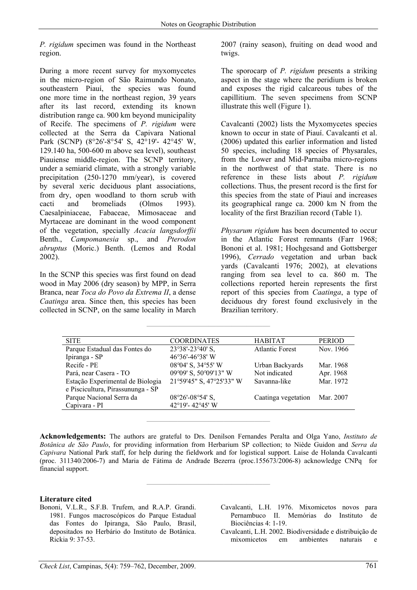*P. rigidum* specimen was found in the Northeast region.

During a more recent survey for myxomycetes in the micro-region of São Raimundo Nonato, southeastern Piauí, the species was found one more time in the northeast region, 39 years after its last record, extending its known distribution range ca. 900 km beyond municipality of Recife. The specimens of *P. rigidum* were collected at the Serra da Capivara National Park (SCNP) (8°26'-8°54' S, 42°19'- 42°45' W, 129.140 ha, 500-600 m above sea level), southeast Piauiense middle-region. The SCNP territory, under a semiarid climate, with a strongly variable precipitation (250-1270 mm/year), is covered by several xeric deciduous plant associations, from dry, open woodland to thorn scrub with cacti and bromeliads (Olmos 1993). Caesalpiniaceae, Fabaceae, Mimosaceae and Myrtaceae are dominant in the wood component of the vegetation, specially *Acacia langsdorffii*  Benth., *Campomanesia* sp., and *Pterodon abruptus* (Moric.) Benth. (Lemos and Rodal 2002).

In the SCNP this species was first found on dead wood in May 2006 (dry season) by MPP, in Serra Branca, near *Toca do Povo da Extrema II*, a dense *Caatinga* area. Since then, this species has been collected in SCNP, on the same locality in March 2007 (rainy season), fruiting on dead wood and twigs.

The sporocarp of *P. rigidum* presents a striking aspect in the stage where the peridium is broken and exposes the rigid calcareous tubes of the capillitium. The seven specimens from SCNP illustrate this well (Figure 1).

Cavalcanti (2002) lists the Myxomycetes species known to occur in state of Piauí. Cavalcanti et al. (2006) updated this earlier information and listed 50 species, including 18 species of Physarales, from the Lower and Mid-Parnaiba micro-regions in the northwest of that state. There is no reference in these lists about *P. rigidum*  collections. Thus, the present record is the first for this species from the state of Piauí and increases its geographical range ca. 2000 km N from the locality of the first Brazilian record (Table 1).

*Physarum rigidum* has been documented to occur in the Atlantic Forest remnants (Farr 1968; Bononi et al. 1981; Hochgesand and Gottsberger 1996), *Cerrado* vegetation and urban back yards (Cavalcanti 1976; 2002), at elevations ranging from sea level to ca. 860 m. The collections reported herein represents the first report of this species from *Caatinga*, a type of deciduous dry forest found exclusively in the Brazilian territory.

| <b>SITE</b>                       | <b>COORDINATES</b>       | <b>HABITAT</b>         | <b>PERIOD</b> |
|-----------------------------------|--------------------------|------------------------|---------------|
| Parque Estadual das Fontes do     | 23°38'-23°40' S,         | <b>Atlantic Forest</b> | Nov. 1966     |
| Ipiranga - SP                     | 46°36'-46°38' W          |                        |               |
| Recife - PE                       | 08°04' S, 34°55' W       | Urban Backyards        | Mar. 1968     |
| Pará, near Casera - TO            | 09°09' S, 50°09'13" W    | Not indicated          | Apr. 1968     |
| Estação Experimental de Biologia  | 21°59'45" S, 47°25'33" W | Savanna-like           | Mar. 1972     |
| e Piscicultura, Pirassununga - SP |                          |                        |               |
| Parque Nacional Serra da          | 08°26'-08°54' S,         | Caatinga vegetation    | Mar. 2007     |
| Capivara - PI                     | 42°19'-42°45' W          |                        |               |
|                                   |                          |                        |               |

**————————————————** 

**Acknowledgements:** The authors are grateful to Drs. Denilson Fernandes Peralta and Olga Yano, *Instituto de Botânica de São Paulo*, for providing information from Herbarium SP collection; to Niède Guidon and *Serra da Capivara* National Park staff, for help during the fieldwork and for logistical support. Laise de Holanda Cavalcanti (proc. 311340/2006-7) and Maria de Fátima de Andrade Bezerra (proc.155673/2006-8) acknowledge CNPq for financial support.

**————————————————** 

**————————————————** 

## **Literature cited**

- Bononi, V.L.R., S.F.B. Trufem, and R.A.P. Grandi. 1981. Fungos macroscópicos do Parque Estadual das Fontes do Ipiranga, São Paulo, Brasil, depositados no Herbário do Instituto de Botânica. Rickia 9: 37-53.
- Cavalcanti, L.H. 1976. Mixomicetos novos para Pernambuco II. Memórias do Instituto de Biociências 4: 1-19.
- Cavalcanti, L.H. 2002. Biodiversidade e distribuição de mixomicetos em ambientes naturais e